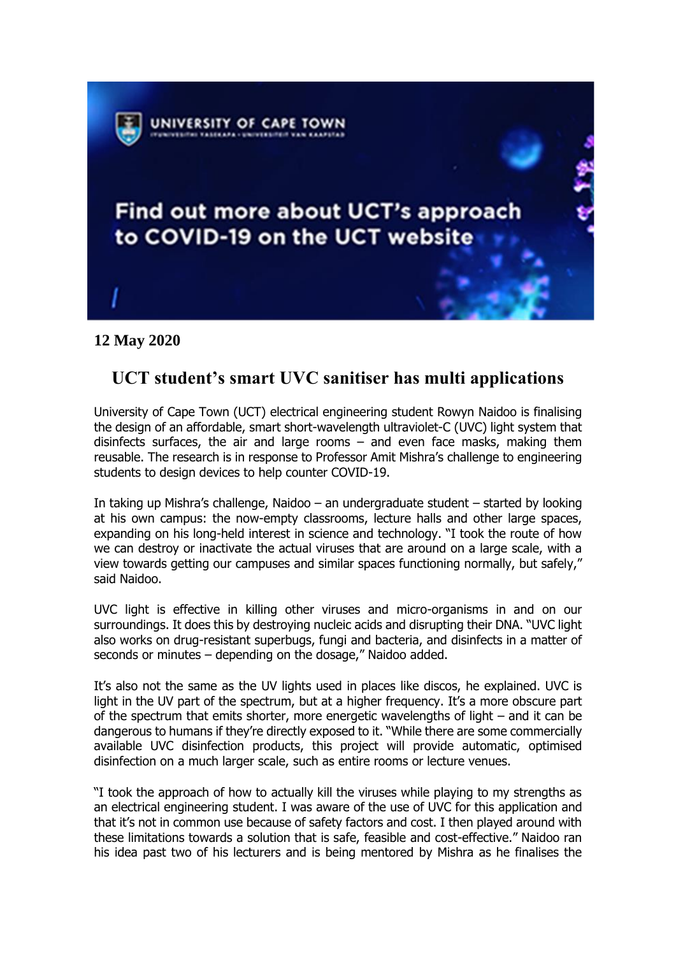

## **12 May 2020**

## **UCT student's smart UVC sanitiser has multi applications**

University of Cape Town (UCT) electrical engineering student Rowyn Naidoo is finalising the design of an affordable, smart short-wavelength ultraviolet-C (UVC) light system that disinfects surfaces, the air and large rooms  $-$  and even face masks, making them reusable. The research is in response to Professor Amit Mishra's challenge to engineering students to design devices to help counter COVID-19.

In taking up Mishra's challenge, Naidoo – an undergraduate student – started by looking at his own campus: the now-empty classrooms, lecture halls and other large spaces, expanding on his long-held interest in science and technology. "I took the route of how we can destroy or inactivate the actual viruses that are around on a large scale, with a view towards getting our campuses and similar spaces functioning normally, but safely," said Naidoo.

UVC light is effective in killing other viruses and micro-organisms in and on our surroundings. It does this by destroying nucleic acids and disrupting their DNA. "UVC light also works on drug-resistant superbugs, fungi and bacteria, and disinfects in a matter of seconds or minutes – depending on the dosage," Naidoo added.

It's also not the same as the UV lights used in places like discos, he explained. UVC is light in the UV part of the spectrum, but at a higher frequency. It's a more obscure part of the spectrum that emits shorter, more energetic wavelengths of light – and it can be dangerous to humans if they're directly exposed to it. "While there are some commercially available UVC disinfection products, this project will provide automatic, optimised disinfection on a much larger scale, such as entire rooms or lecture venues.

"I took the approach of how to actually kill the viruses while playing to my strengths as an electrical engineering student. I was aware of the use of UVC for this application and that it's not in common use because of safety factors and cost. I then played around with these limitations towards a solution that is safe, feasible and cost-effective." Naidoo ran his idea past two of his lecturers and is being mentored by Mishra as he finalises the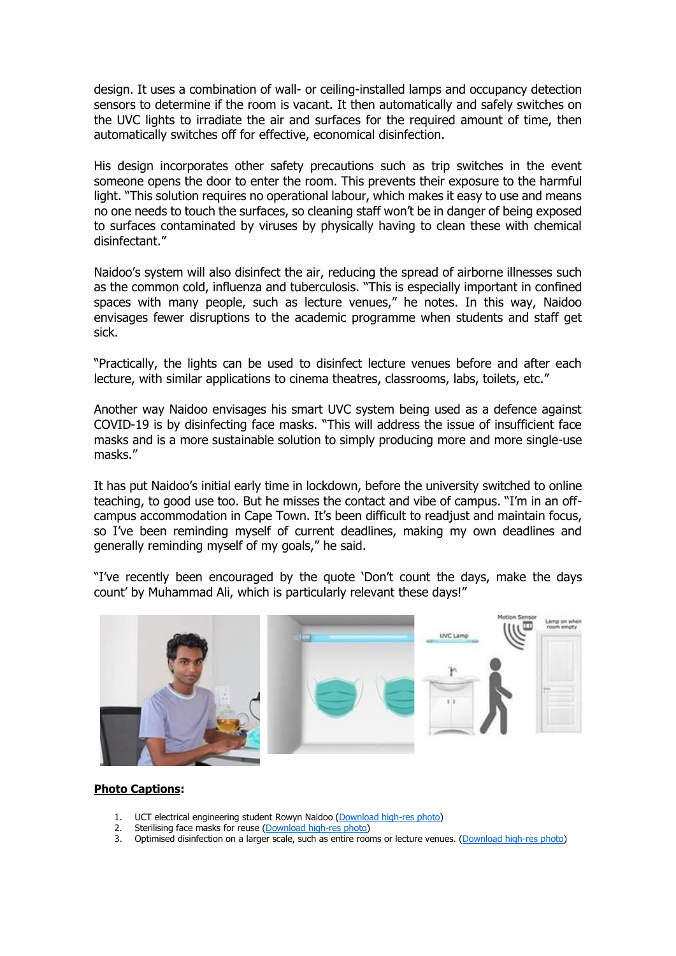design. It uses a combination of wall- or ceiling-installed lamps and occupancy detection sensors to determine if the room is vacant. It then automatically and safely switches on the UVC lights to irradiate the air and surfaces for the required amount of time, then automatically switches off for effective, economical disinfection.

His design incorporates other safety precautions such as trip switches in the event someone opens the door to enter the room. This prevents their exposure to the harmful light. "This solution requires no operational labour, which makes it easy to use and means no one needs to touch the surfaces, so cleaning staff won't be in danger of being exposed to surfaces contaminated by viruses by physically having to clean these with chemical disinfectant."

Naidoo's system will also disinfect the air, reducing the spread of airborne illnesses such as the common cold, influenza and tuberculosis. "This is especially important in confined spaces with many people, such as lecture venues," he notes. In this way, Naidoo envisages fewer disruptions to the academic programme when students and staff get sick.

"Practically, the lights can be used to disinfect lecture venues before and after each lecture, with similar applications to cinema theatres, classrooms, labs, toilets, etc."

Another way Naidoo envisages his smart UVC system being used as a defence against COVID-19 is by disinfecting face masks. "This will address the issue of insufficient face masks and is a more sustainable solution to simply producing more and more single-use masks."

It has put Naidoo's initial early time in lockdown, before the university switched to online teaching, to good use too. But he misses the contact and vibe of campus. "I'm in an offcampus accommodation in Cape Town. It's been difficult to readjust and maintain focus, so I've been reminding myself of current deadlines, making my own deadlines and generally reminding myself of my goals," he said.

"I've recently been encouraged by the quote 'Don't count the days, make the days count' by Muhammad Ali, which is particularly relevant these days!"



## **Photo Captions:**

- 1. UCT electrical engineering student Rowyn Naidoo [\(Download high-res photo\)](https://drive.google.com/file/d/1oDBF_lOGYdPsgoURYB8fMwTenwfggnPT/view?usp=sharing)
- 2. Sterilising face masks for reuse [\(Download high-res photo\)](https://drive.google.com/file/d/1KXOVA7ywGq1V8RTMMCUYyc01pN5pJJeT/view?usp=sharing)
- 3. Optimised disinfection on a larger scale, such as entire rooms or lecture venues. [\(Download high-res photo\)](https://drive.google.com/file/d/1fOhyGlU9f-GGH91vtihYWg3KRaOLkU70/view?usp=sharing)